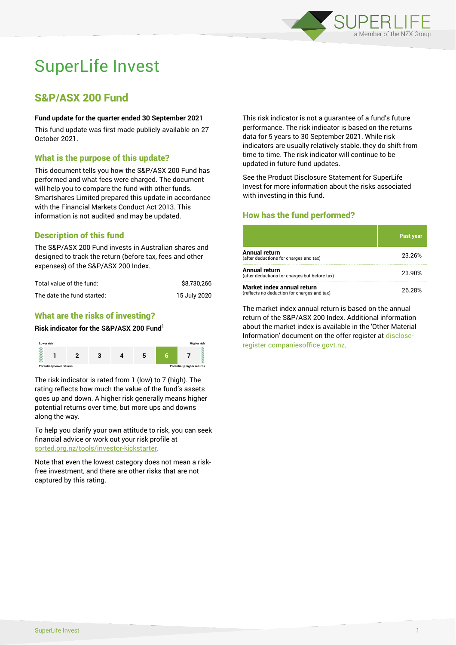

# SuperLife Invest

# S&P/ASX 200 Fund

#### **Fund update for the quarter ended 30 September 2021**

This fund update was first made publicly available on 27 October 2021.

# What is the purpose of this update?

This document tells you how the S&P/ASX 200 Fund has performed and what fees were charged. The document will help you to compare the fund with other funds. Smartshares Limited prepared this update in accordance with the Financial Markets Conduct Act 2013. This information is not audited and may be updated.

# Description of this fund

The S&P/ASX 200 Fund invests in Australian shares and designed to track the return (before tax, fees and other expenses) of the S&P/ASX 200 Index.

| Total value of the fund:   | \$8.730.266  |
|----------------------------|--------------|
| The date the fund started: | 15 July 2020 |

# What are the risks of investing?

#### **Risk indicator for the S&P/ASX 200 Fund<sup>1</sup>**



The risk indicator is rated from 1 (low) to 7 (high). The rating reflects how much the value of the fund's assets goes up and down. A higher risk generally means higher potential returns over time, but more ups and downs along the way.

To help you clarify your own attitude to risk, you can seek financial advice or work out your risk profile at [sorted.org.nz/tools/investor-kickstarter.](http://www.sorted.org.nz/tools/investor-kickstarter)

Note that even the lowest category does not mean a riskfree investment, and there are other risks that are not captured by this rating.

This risk indicator is not a guarantee of a fund's future performance. The risk indicator is based on the returns data for 5 years to 30 September 2021. While risk indicators are usually relatively stable, they do shift from time to time. The risk indicator will continue to be updated in future fund updates.

See the Product Disclosure Statement for SuperLife Invest for more information about the risks associated with investing in this fund.

# How has the fund performed?

|                                                                           | <b>Past year</b> |
|---------------------------------------------------------------------------|------------------|
| Annual return<br>(after deductions for charges and tax)                   | 23.26%           |
| Annual return<br>(after deductions for charges but before tax)            | 23.90%           |
| Market index annual return<br>(reflects no deduction for charges and tax) | 26.28%           |

The market index annual return is based on the annual return of the S&P/ASX 200 Index. Additional information about the market index is available in the 'Other Material Information' document on the offer register a[t disclose](http://www.disclose-register.companiesoffice.govt.nz/)[register.companiesoffice.govt.nz.](http://www.disclose-register.companiesoffice.govt.nz/)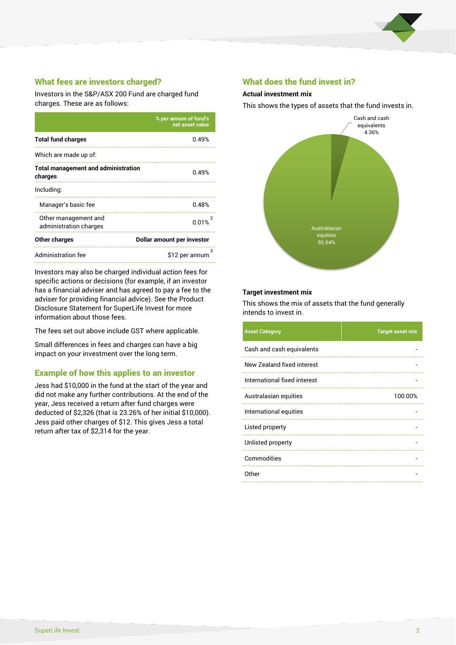

# What fees are investors charged?

Investors in the S&P/ASX 200 Fund are charged fund charges. These are as follows:

|                                                       | % per annum of fund's<br>net asset value |  |
|-------------------------------------------------------|------------------------------------------|--|
| <b>Total fund charges</b>                             | በ 49%                                    |  |
| Which are made up of:                                 |                                          |  |
| <b>Total management and administration</b><br>charges | 0.49%                                    |  |
| Including:                                            |                                          |  |
| Manager's basic fee                                   | 0.48%                                    |  |
| Other management and<br>administration charges        | 0.01%                                    |  |
| Other charges                                         | Dollar amount per investor               |  |
| Administration fee                                    | \$12 per annum                           |  |

Investors may also be charged individual action fees for specific actions or decisions (for example, if an investor has a financial adviser and has agreed to pay a fee to the adviser for providing financial advice). See the Product Disclosure Statement for SuperLife Invest for more information about those fees.

The fees set out above include GST where applicable.

Small differences in fees and charges can have a big impact on your investment over the long term.

# Example of how this applies to an investor

Jess had \$10,000 in the fund at the start of the year and did not make any further contributions. At the end of the year, Jess received a return after fund charges were deducted of \$2,326 (that is 23.26% of her initial \$10,000). Jess paid other charges of \$12. This gives Jess a total return after tax of \$2,314 for the year.

## What does the fund invest in?

#### **Actual investment mix**

This shows the types of assets that the fund invests in.



#### **Target investment mix**

This shows the mix of assets that the fund generally intends to invest in.

| <b>Asset Category</b>        | <b>Target asset mix</b> |
|------------------------------|-------------------------|
| Cash and cash equivalents    |                         |
| New Zealand fixed interest   |                         |
| International fixed interest |                         |
| Australasian equities        | 100.00%                 |
| International equities       |                         |
| Listed property              |                         |
| Unlisted property            |                         |
| Commodities                  |                         |
| Other                        |                         |